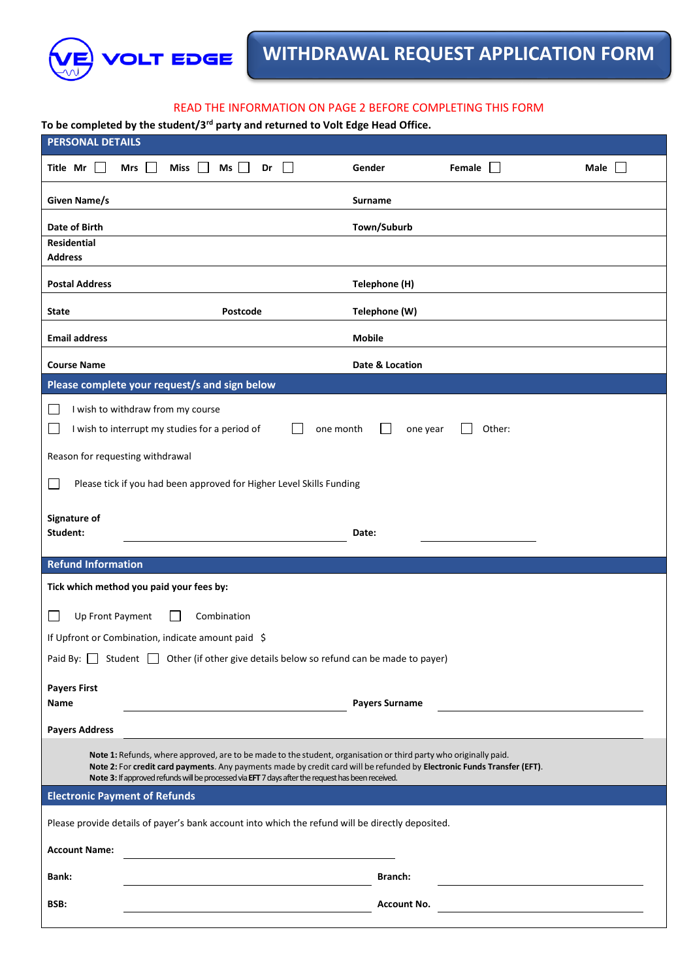

# READ THE INFORMATION ON PAGE 2 BEFORE COMPLETING THIS FORM

**To be completed by the student/3rd party and returned to Volt Edge Head Office.**

| <b>PERSONAL DETAILS</b>                                                                                                                                                                                                                                                                                                                          |          |                       |               |             |  |  |  |
|--------------------------------------------------------------------------------------------------------------------------------------------------------------------------------------------------------------------------------------------------------------------------------------------------------------------------------------------------|----------|-----------------------|---------------|-------------|--|--|--|
| Title Mr $\Box$<br>Ms<br>Mrs<br>Miss<br>$\blacksquare$                                                                                                                                                                                                                                                                                           | Dr       | Gender                | Female $\Box$ | Male $\Box$ |  |  |  |
| Given Name/s                                                                                                                                                                                                                                                                                                                                     |          | <b>Surname</b>        |               |             |  |  |  |
| Date of Birth                                                                                                                                                                                                                                                                                                                                    |          | Town/Suburb           |               |             |  |  |  |
| <b>Residential</b><br><b>Address</b>                                                                                                                                                                                                                                                                                                             |          |                       |               |             |  |  |  |
| <b>Postal Address</b>                                                                                                                                                                                                                                                                                                                            |          | Telephone (H)         |               |             |  |  |  |
| <b>State</b>                                                                                                                                                                                                                                                                                                                                     | Postcode | Telephone (W)         |               |             |  |  |  |
| <b>Email address</b>                                                                                                                                                                                                                                                                                                                             |          | <b>Mobile</b>         |               |             |  |  |  |
| <b>Course Name</b>                                                                                                                                                                                                                                                                                                                               |          | Date & Location       |               |             |  |  |  |
| Please complete your request/s and sign below                                                                                                                                                                                                                                                                                                    |          |                       |               |             |  |  |  |
| I wish to withdraw from my course                                                                                                                                                                                                                                                                                                                |          |                       |               |             |  |  |  |
| I wish to interrupt my studies for a period of                                                                                                                                                                                                                                                                                                   |          | one month<br>one year | Other:        |             |  |  |  |
| Reason for requesting withdrawal                                                                                                                                                                                                                                                                                                                 |          |                       |               |             |  |  |  |
| Please tick if you had been approved for Higher Level Skills Funding<br>1 I                                                                                                                                                                                                                                                                      |          |                       |               |             |  |  |  |
| Signature of                                                                                                                                                                                                                                                                                                                                     |          |                       |               |             |  |  |  |
| Student:                                                                                                                                                                                                                                                                                                                                         |          | Date:                 |               |             |  |  |  |
| <b>Refund Information</b>                                                                                                                                                                                                                                                                                                                        |          |                       |               |             |  |  |  |
| Tick which method you paid your fees by:                                                                                                                                                                                                                                                                                                         |          |                       |               |             |  |  |  |
| Up Front Payment<br>Combination<br>$\mathbf{r}$                                                                                                                                                                                                                                                                                                  |          |                       |               |             |  |  |  |
| If Upfront or Combination, indicate amount paid \$                                                                                                                                                                                                                                                                                               |          |                       |               |             |  |  |  |
| Student $\Box$ Other (if other give details below so refund can be made to payer)<br>Paid By: $\Box$                                                                                                                                                                                                                                             |          |                       |               |             |  |  |  |
| <b>Payers First</b>                                                                                                                                                                                                                                                                                                                              |          |                       |               |             |  |  |  |
| Name                                                                                                                                                                                                                                                                                                                                             |          | <b>Payers Surname</b> |               |             |  |  |  |
| <b>Payers Address</b>                                                                                                                                                                                                                                                                                                                            |          |                       |               |             |  |  |  |
| Note 1: Refunds, where approved, are to be made to the student, organisation or third party who originally paid.<br>Note 2: For credit card payments. Any payments made by credit card will be refunded by Electronic Funds Transfer (EFT).<br>Note 3: If approved refunds will be processed via EFT 7 days after the request has been received. |          |                       |               |             |  |  |  |
| <b>Electronic Payment of Refunds</b>                                                                                                                                                                                                                                                                                                             |          |                       |               |             |  |  |  |
| Please provide details of payer's bank account into which the refund will be directly deposited.                                                                                                                                                                                                                                                 |          |                       |               |             |  |  |  |
| <b>Account Name:</b>                                                                                                                                                                                                                                                                                                                             |          |                       |               |             |  |  |  |
| <b>Bank:</b>                                                                                                                                                                                                                                                                                                                                     |          | Branch:               |               |             |  |  |  |
| BSB:                                                                                                                                                                                                                                                                                                                                             |          | <b>Account No.</b>    |               |             |  |  |  |
|                                                                                                                                                                                                                                                                                                                                                  |          |                       |               |             |  |  |  |